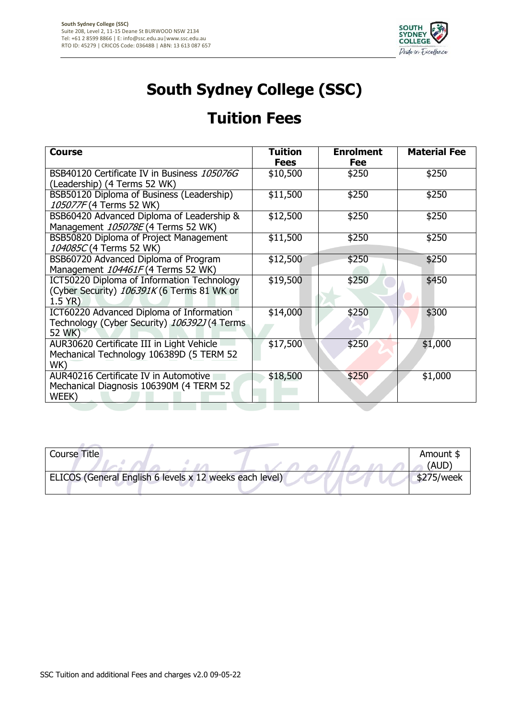

## **South Sydney College (SSC)**

## **Tuition Fees**

| <b>Course</b>                                | <b>Tuition</b> | <b>Enrolment</b> | <b>Material Fee</b> |
|----------------------------------------------|----------------|------------------|---------------------|
|                                              | <b>Fees</b>    | Fee              |                     |
| BSB40120 Certificate IV in Business 105076G  | \$10,500       | \$250            | \$250               |
| (Leadership) (4 Terms 52 WK)                 |                |                  |                     |
| BSB50120 Diploma of Business (Leadership)    | \$11,500       | \$250            | \$250               |
| 105077F (4 Terms 52 WK)                      |                |                  |                     |
| BSB60420 Advanced Diploma of Leadership &    | \$12,500       | \$250            | \$250               |
| Management 105078E (4 Terms 52 WK)           |                |                  |                     |
| BSB50820 Diploma of Project Management       | \$11,500       | \$250            | \$250               |
| 104085C (4 Terms 52 WK)                      |                |                  |                     |
| BSB60720 Advanced Diploma of Program         | \$12,500       | \$250            | \$250               |
| Management 104461F (4 Terms 52 WK)           |                |                  |                     |
| ICT50220 Diploma of Information Technology   | \$19,500       | \$250            | \$450               |
| (Cyber Security) 106391K (6 Terms 81 WK or   |                |                  |                     |
| 1.5 YR)                                      |                |                  |                     |
| ICT60220 Advanced Diploma of Information     | \$14,000       | \$250            | \$300               |
| Technology (Cyber Security) 106392J (4 Terms |                |                  |                     |
| 52 WK)                                       |                |                  |                     |
| AUR30620 Certificate III in Light Vehicle    | \$17,500       | \$250            | \$1,000             |
| Mechanical Technology 106389D (5 TERM 52     |                |                  |                     |
| WK)                                          |                |                  |                     |
| AUR40216 Certificate IV in Automotive        | \$18,500       | \$250            | \$1,000             |
| Mechanical Diagnosis 106390M (4 TERM 52      |                |                  |                     |
| WEEK)                                        |                |                  |                     |
|                                              |                |                  |                     |

| <b>Course Title</b>                                     |  |            | Amount \$<br>`AUD) |
|---------------------------------------------------------|--|------------|--------------------|
| ELICOS (General English 6 levels x 12 weeks each level) |  | \$275/week |                    |
|                                                         |  |            |                    |